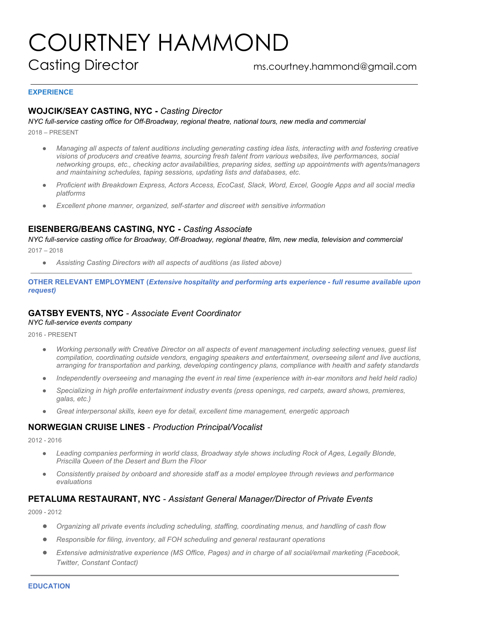# COURTNEY HAMMOND Casting Director ms.courtney.hammond@gmail.com

#### **EXPERIENCE**

# **WOJCIK/SEAY CASTING, NYC -** *Casting Director*

*NYC full-service casting office for Off-Broadway, regional theatre, national tours, new media and commercial* 2018 – PRESENT

● *Managing all aspects of talent auditions including generating casting idea lists, interacting with and fostering creative visions of producers and creative teams, sourcing fresh talent from various websites, live performances, social networking groups, etc., checking actor availabilities, preparing sides, setting up appointments with agents/managers and maintaining schedules, taping sessions, updating lists and databases, etc.*

- *Proficient with Breakdown Express, Actors Access, EcoCast, Slack, Word, Excel, Google Apps and all social media platforms*
- *Excellent phone manner, organized, self-starter and discreet with sensitive information*

# **EISENBERG/BEANS CASTING, NYC -** *Casting Associate*

*NYC full-service casting office for Broadway, Off-Broadway, regional theatre, film, new media, television and commercial*  $2017 - 2018$ 

● *Assisting Casting Directors with all aspects of auditions (as listed above)*

**OTHER RELEVANT EMPLOYMENT (***Extensive hospitality and performing arts experience - full resume available upon request)*

# **GATSBY EVENTS, NYC** - *Associate Event Coordinator*

*NYC full-service events company*

2016 - PRESENT

- *Working personally with Creative Director on all aspects of event management including selecting venues, guest list compilation, coordinating outside vendors, engaging speakers and entertainment, overseeing silent and live auctions, arranging for transportation and parking, developing contingency plans, compliance with health and safety standards*
- *Independently overseeing and managing the event in real time (experience with in-ear monitors and held held radio)*
- *Specializing in high profile entertainment industry events (press openings, red carpets, award shows, premieres, galas, etc.)*
- *Great interpersonal skills, keen eye for detail, excellent time management, energetic approach*

# **NORWEGIAN CRUISE LINES** - *Production Principal/Vocalist*

2012 - 2016

- Leading companies performing in world class, Broadway style shows including Rock of Ages, Legally Blonde, *Priscilla Queen of the Desert and Burn the Floor*
- *Consistently praised by onboard and shoreside staff as a model employee through reviews and performance evaluations*

# **PETALUMA RESTAURANT, NYC** - *Assistant General Manager/Director of Private Events*

2009 - 2012

- *Organizing all private events including scheduling, staffing, coordinating menus, and handling of cash flow*
- *Responsible for filing, inventory, all FOH scheduling and general restaurant operations*
- *Extensive administrative experience (MS Office, Pages) and in charge of all social/email marketing (Facebook, Twitter, Constant Contact)*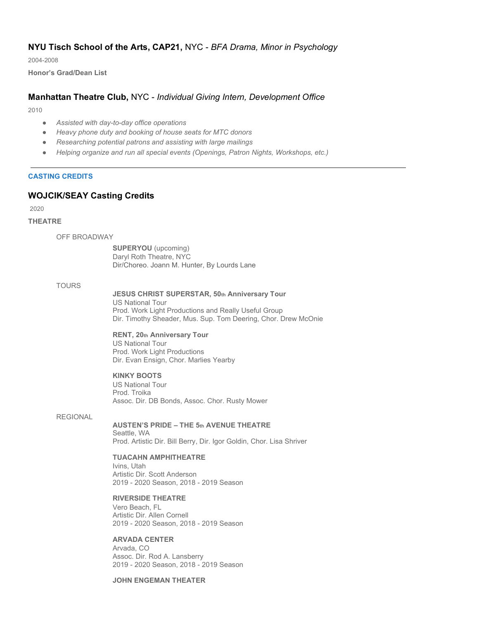# **NYU Tisch School of the Arts, CAP21,** NYC - *BFA Drama, Minor in Psychology*

2004-2008

**Honor's Grad/Dean List**

# **Manhattan Theatre Club,** NYC - *Individual Giving Intern, Development Office*

2010

- *Assisted with day-to-day office operations*
- *Heavy phone duty and booking of house seats for MTC donors*
- *Researching potential patrons and assisting with large mailings*
- *Helping organize and run all special events (Openings, Patron Nights, Workshops, etc.)*

# **CASTING CREDITS**

# **WOJCIK/SEAY Casting Credits**

2020

## **THEATRE**

OFF BROADWAY

**SUPERYOU** (upcoming) Daryl Roth Theatre, NYC Dir/Choreo. Joann M. Hunter, By Lourds Lane

TOURS

#### **JESUS CHRIST SUPERSTAR, 50th Anniversary Tour**

US National Tour Prod. Work Light Productions and Really Useful Group Dir. Timothy Sheader, Mus. Sup. Tom Deering, Chor. Drew McOnie

# **RENT, 20th Anniversary Tour**

US National Tour Prod. Work Light Productions Dir. Evan Ensign, Chor. Marlies Yearby

#### **KINKY BOOTS**

US National Tour Prod. Troika Assoc. Dir. DB Bonds, Assoc. Chor. Rusty Mower

#### REGIONAL

#### **AUSTEN'S PRIDE – THE 5th AVENUE THEATRE** Seattle, WA

Prod. Artistic Dir. Bill Berry, Dir. Igor Goldin, Chor. Lisa Shriver

#### **TUACAHN AMPHITHEATRE**

Ivins, Utah Artistic Dir. Scott Anderson 2019 - 2020 Season, 2018 - 2019 Season

# **RIVERSIDE THEATRE**

Vero Beach, FL Artistic Dir. Allen Cornell 2019 - 2020 Season, 2018 - 2019 Season

#### **ARVADA CENTER**

Arvada, CO Assoc. Dir. Rod A. Lansberry 2019 - 2020 Season, 2018 - 2019 Season

# **JOHN ENGEMAN THEATER**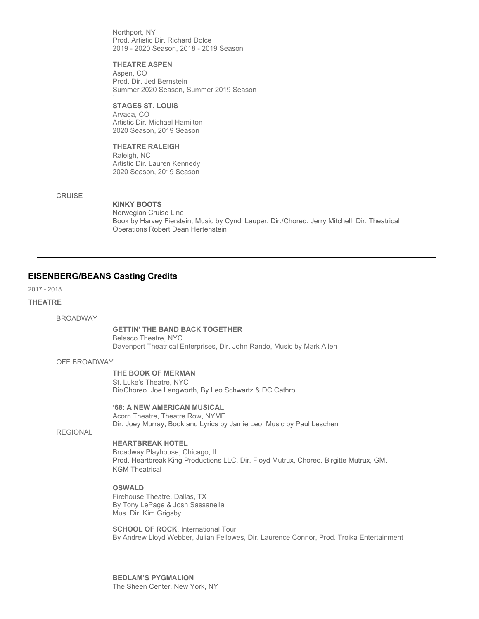Northport, NY Prod. Artistic Dir. Richard Dolce 2019 - 2020 Season, 2018 - 2019 Season

**THEATRE ASPEN** Aspen, CO Prod. Dir. Jed Bernstein Summer 2020 Season, Summer 2019 Season

#### **STAGES ST. LOUIS** Arvada, CO

`

Artistic Dir. Michael Hamilton 2020 Season, 2019 Season

# **THEATRE RALEIGH**

Raleigh, NC Artistic Dir. Lauren Kennedy 2020 Season, 2019 Season

# **CRUISE**

**KINKY BOOTS** Norwegian Cruise Line Book by Harvey Fierstein, Music by Cyndi Lauper, Dir./Choreo. Jerry Mitchell, Dir. Theatrical Operations Robert Dean Hertenstein

# **EISENBERG/BEANS Casting Credits**

2017 - 2018

## **THEATRE**

BROADWAY

## **GETTIN' THE BAND BACK TOGETHER**

Belasco Theatre, NYC Davenport Theatrical Enterprises, Dir. John Rando, Music by Mark Allen

## OFF BROADWAY

# **THE BOOK OF MERMAN**

St. Luke's Theatre, NYC Dir/Choreo. Joe Langworth, By Leo Schwartz & DC Cathro

## **'68: A NEW AMERICAN MUSICAL**

Acorn Theatre, Theatre Row, NYMF Dir. Joey Murray, Book and Lyrics by Jamie Leo, Music by Paul Leschen

# **REGIONAL**

# **HEARTBREAK HOTEL**

Broadway Playhouse, Chicago, IL Prod. Heartbreak King Productions LLC, Dir. Floyd Mutrux, Choreo. Birgitte Mutrux, GM. KGM Theatrical

# **OSWALD**

Firehouse Theatre, Dallas, TX By Tony LePage & Josh Sassanella Mus. Dir. Kim Grigsby

**SCHOOL OF ROCK, International Tour** By Andrew Lloyd Webber, Julian Fellowes, Dir. Laurence Connor, Prod. Troika Entertainment

**BEDLAM'S PYGMALION** The Sheen Center, New York, NY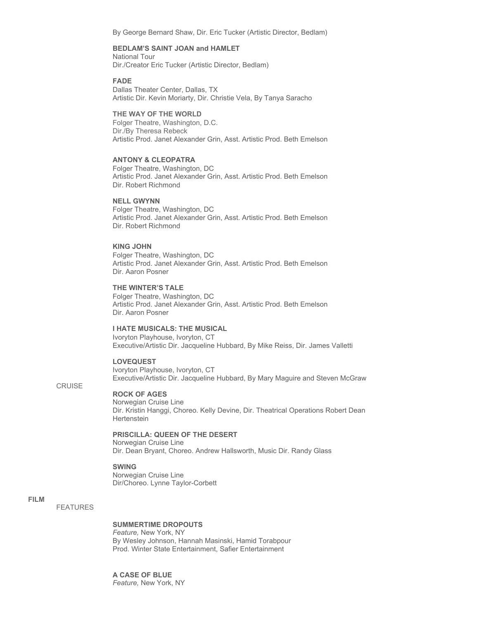By George Bernard Shaw, Dir. Eric Tucker (Artistic Director, Bedlam)

# **BEDLAM'S SAINT JOAN and HAMLET**

National Tour Dir./Creator Eric Tucker (Artistic Director, Bedlam)

#### **FADE**

Dallas Theater Center, Dallas, TX Artistic Dir. Kevin Moriarty, Dir. Christie Vela, By Tanya Saracho

#### **THE WAY OF THE WORLD**

Folger Theatre, Washington, D.C. Dir./By Theresa Rebeck Artistic Prod. Janet Alexander Grin, Asst. Artistic Prod. Beth Emelson

# **ANTONY & CLEOPATRA**

Folger Theatre, Washington, DC Artistic Prod. Janet Alexander Grin, Asst. Artistic Prod. Beth Emelson Dir. Robert Richmond

#### **NELL GWYNN**

Folger Theatre, Washington, DC Artistic Prod. Janet Alexander Grin, Asst. Artistic Prod. Beth Emelson Dir. Robert Richmond

#### **KING JOHN**

Folger Theatre, Washington, DC Artistic Prod. Janet Alexander Grin, Asst. Artistic Prod. Beth Emelson Dir. Aaron Posner

# **THE WINTER'S TALE**

Folger Theatre, Washington, DC Artistic Prod. Janet Alexander Grin, Asst. Artistic Prod. Beth Emelson Dir. Aaron Posner

#### **I HATE MUSICALS: THE MUSICAL**

Ivoryton Playhouse, Ivoryton, CT Executive/Artistic Dir. Jacqueline Hubbard, By Mike Reiss, Dir. James Valletti

#### **LOVEQUEST**

Ivoryton Playhouse, Ivoryton, CT Executive/Artistic Dir. Jacqueline Hubbard, By Mary Maguire and Steven McGraw

# **CRUISE**

# **ROCK OF AGES**

Norwegian Cruise Line Dir. Kristin Hanggi, Choreo. Kelly Devine, Dir. Theatrical Operations Robert Dean Hertenstein

# **PRISCILLA: QUEEN OF THE DESERT**

Norwegian Cruise Line Dir. Dean Bryant, Choreo. Andrew Hallsworth, Music Dir. Randy Glass

#### **SWING**

Norwegian Cruise Line Dir/Choreo. Lynne Taylor-Corbett

#### **FILM**

FEATURES

# **SUMMERTIME DROPOUTS**

*Feature,* New York, NY By Wesley Johnson, Hannah Masinski, Hamid Torabpour Prod. Winter State Entertainment, Safier Entertainment

#### **A CASE OF BLUE**

*Feature,* New York, NY